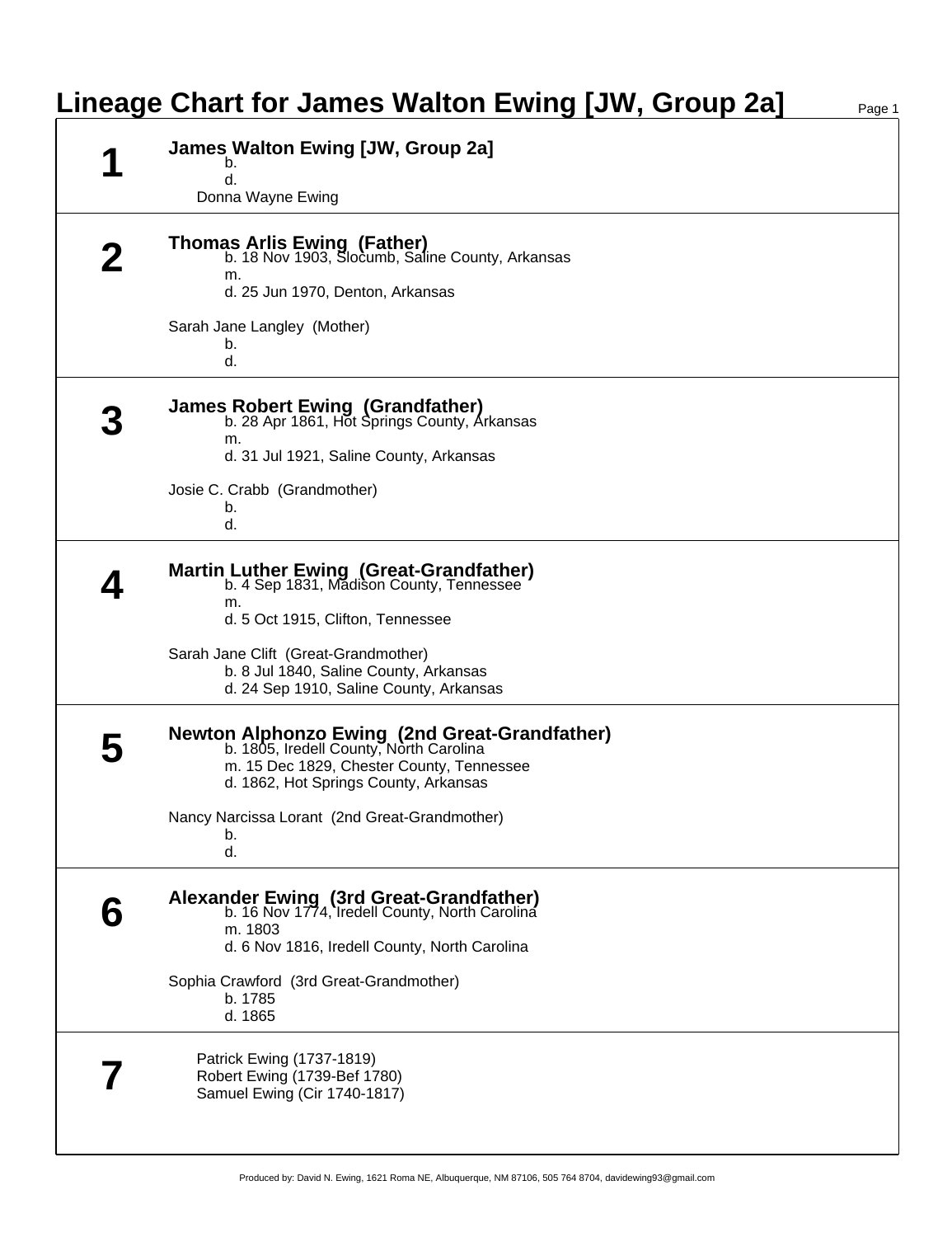## **Lineage Chart for James Walton Ewing [JW, Group 2a]** Page 1

| James Walton Ewing [JW, Group 2a]<br>b.<br>d.<br>Donna Wayne Ewing                                                                                                             |
|--------------------------------------------------------------------------------------------------------------------------------------------------------------------------------|
| <b>Thomas Arlis Ewing (Father)</b><br>b. 18 Nov 1903, Slocumb, Saline County, Arkansas<br>m.<br>d. 25 Jun 1970, Denton, Arkansas                                               |
| Sarah Jane Langley (Mother)<br>b.<br>d.                                                                                                                                        |
| James Robert Ewing (Grandfather)<br>b. 28 Apr 1861, Hot Springs County, Arkansas<br>m.<br>d. 31 Jul 1921, Saline County, Arkansas                                              |
| Josie C. Crabb (Grandmother)<br>b.<br>d.                                                                                                                                       |
| Martin Luther Ewing (Great-Grandfather)<br>b. 4 Sep 1831, Madison County, Tennessee<br>m.<br>d. 5 Oct 1915, Clifton, Tennessee                                                 |
| Sarah Jane Clift (Great-Grandmother)<br>b. 8 Jul 1840, Saline County, Arkansas<br>d. 24 Sep 1910, Saline County, Arkansas                                                      |
| Newton Alphonzo Ewing (2nd Great-Grandfather)<br>b. 1805, Iredell County, North Carolina<br>m. 15 Dec 1829, Chester County, Tennessee<br>d. 1862, Hot Springs County, Arkansas |
| Nancy Narcissa Lorant (2nd Great-Grandmother)<br>b.<br>d.                                                                                                                      |
| Alexander Ewing (3rd Great-Grandfather)<br>b. 16 Nov 1774, Iredell County, North Carolina<br>m. 1803<br>d. 6 Nov 1816, Iredell County, North Carolina                          |
| Sophia Crawford (3rd Great-Grandmother)<br>b. 1785<br>d. 1865                                                                                                                  |
| Patrick Ewing (1737-1819)<br>Robert Ewing (1739-Bef 1780)<br>Samuel Ewing (Cir 1740-1817)                                                                                      |